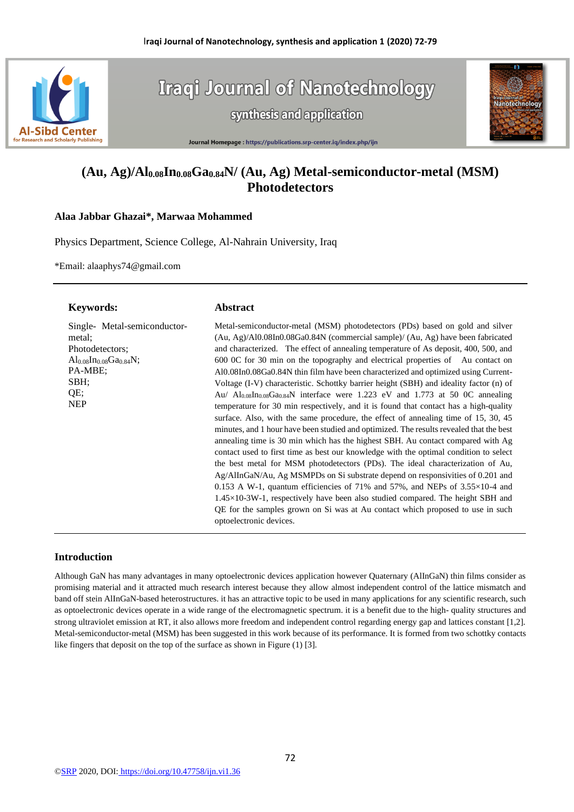

**Iraqi Journal of Nanotechnology** synthesis and application



Journal Homepage : https://publications.srp-center.iq/index.php/ijn

# **(Au, Ag)/Al0.08In0.08Ga0.84N/ (Au, Ag) Metal-semiconductor-metal (MSM) Photodetectors**

### **Alaa Jabbar Ghazai\*, Marwaa Mohammed**

Physics Department, Science College, Al-Nahrain University, Iraq

\*Email: alaaphys74@gmail.com

### **Keywords:**

#### **Abstract**

Single- Metal-semiconductormetal; Photodetectors;  $Al_{0.08}In_{0.08}Ga_{0.84}N$ ; PA-MBE; SBH; QE; NEP

Metal-semiconductor-metal (MSM) photodetectors (PDs) based on gold and silver (Au, Ag)/Al0.08In0.08Ga0.84N (commercial sample)/ (Au, Ag) have been fabricated and characterized. The effect of annealing temperature of As deposit, 400, 500, and 600 0C for 30 min on the topography and electrical properties of Au contact on Al0.08In0.08Ga0.84N thin film have been characterized and optimized using Current-Voltage (I-V) characteristic. Schottky barrier height (SBH) and ideality factor (n) of Au/ Al0.08In0.08Ga0.84N interface were 1.223 eV and 1.773 at 50 0C annealing temperature for 30 min respectively, and it is found that contact has a high-quality surface. Also, with the same procedure, the effect of annealing time of 15, 30, 45 minutes, and 1 hour have been studied and optimized. The results revealed that the best annealing time is 30 min which has the highest SBH. Au contact compared with Ag contact used to first time as best our knowledge with the optimal condition to select the best metal for MSM photodetectors (PDs). The ideal characterization of Au, Ag/AlInGaN/Au, Ag MSMPDs on Si substrate depend on responsivities of 0.201 and 0.153 A W-1, quantum efficiencies of 71% and 57%, and NEPs of  $3.55\times10-4$  and 1.45×10-3W-1, respectively have been also studied compared. The height SBH and QE for the samples grown on Si was at Au contact which proposed to use in such optoelectronic devices.

## **Introduction**

Although GaN has many advantages in many optoelectronic devices application however Quaternary (AlInGaN) thin films consider as promising material and it attracted much research interest because they allow almost independent control of the lattice mismatch and band off stein AlInGaN-based heterostructures. it has an attractive topic to be used in many applications for any scientific research, such as optoelectronic devices operate in a wide range of the electromagnetic spectrum. it is a benefit due to the high- quality structures and strong ultraviolet emission at RT, it also allows more freedom and independent control regarding energy gap and lattices constant [1,2]. Metal-semiconductor-metal (MSM) has been suggested in this work because of its performance. It is formed from two schottky contacts like fingers that deposit on the top of the surface as shown in Figure (1) [3].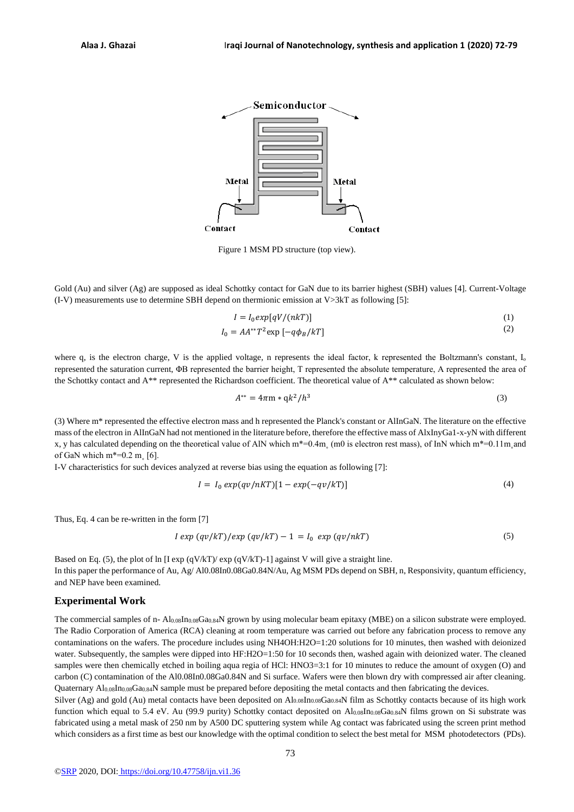

Figure 1 MSM PD structure (top view).

Gold (Au) and silver (Ag) are supposed as ideal Schottky contact for GaN due to its barrier highest (SBH) values [4]. Current-Voltage (I-V) measurements use to determine SBH depend on thermionic emission at V>3kT as following [5]:

$$
I = I_0 exp[qV/(nkT)] \tag{1}
$$

$$
I_0 = AA^{**}T^2 \exp\left[-q\phi_B/kT\right] \tag{2}
$$

where q, is the electron charge, V is the applied voltage, n represents the ideal factor, k represented the Boltzmann's constant,  $I_0$ represented the saturation current, ΦB represented the barrier height, T represented the absolute temperature, A represented the area of the Schottky contact and A\*\* represented the Richardson coefficient. The theoretical value of A\*\* calculated as shown below:

$$
A^{**} = 4\pi m * qk^2/h^3
$$
 (3)

(3) Where m\* represented the effective electron mass and h represented the Planck's constant or AlInGaN. The literature on the effective mass of the electron in AlInGaN had not mentioned in the literature before, therefore the effective mass of AlxInyGa1-x-yN with different x, y has calculated depending on the theoretical value of AlN which m\*=0.4m (m0 is electron rest mass), of InN which m\*=0.11m and of GaN which  $m^*=0.2$  m $[6]$ .

I-V characteristics for such devices analyzed at reverse bias using the equation as following [7]:

$$
I = I_0 \exp(qv/nKT)[1 - exp(-qv/kT)] \tag{4}
$$

Thus, Eq. 4 can be re-written in the form [7]

$$
I \exp\left(\frac{qv}{kT}\right)/\exp\left(\frac{qv}{kT}\right) - 1 = I_0 \exp\left(\frac{qv}{nkT}\right) \tag{5}
$$

Based on Eq. (5), the plot of ln [I exp (qV/kT)/ exp (qV/kT)-1] against V will give a straight line. In this paper the performance of Au, Ag/ Al0.08In0.08Ga0.84N/Au, Ag MSM PDs depend on SBH, n, Responsivity, quantum efficiency, and NEP have been examined.

#### **Experimental Work**

The commercial samples of n- Al<sub>0.08</sub>In<sub>0.08</sub>Ga<sub>0.84</sub>N grown by using molecular beam epitaxy (MBE) on a silicon substrate were employed. The Radio Corporation of America (RCA) cleaning at room temperature was carried out before any fabrication process to remove any contaminations on the wafers. The procedure includes using NH4OH:H2O=1:20 solutions for 10 minutes, then washed with deionized water. Subsequently, the samples were dipped into HF:H2O=1:50 for 10 seconds then, washed again with deionized water. The cleaned samples were then chemically etched in boiling aqua regia of HCl: HNO3=3:1 for 10 minutes to reduce the amount of oxygen (O) and carbon (C) contamination of the Al0.08In0.08Ga0.84N and Si surface. Wafers were then blown dry with compressed air after cleaning. Quaternary Al0.08In0.08Ga0.84N sample must be prepared before depositing the metal contacts and then fabricating the devices.

Silver (Ag) and gold (Au) metal contacts have been deposited on Al0.08In0.08Ga0.84N film as Schottky contacts because of its high work function which equal to 5.4 eV. Au (99.9 purity) Schottky contact deposited on  $Al_{0.08}In_{0.08}Ga_{0.84}N$  films grown on Si substrate was fabricated using a metal mask of 250 nm by A500 DC sputtering system while Ag contact was fabricated using the screen print method which considers as a first time as best our knowledge with the optimal condition to select the best metal for MSM photodetectors (PDs).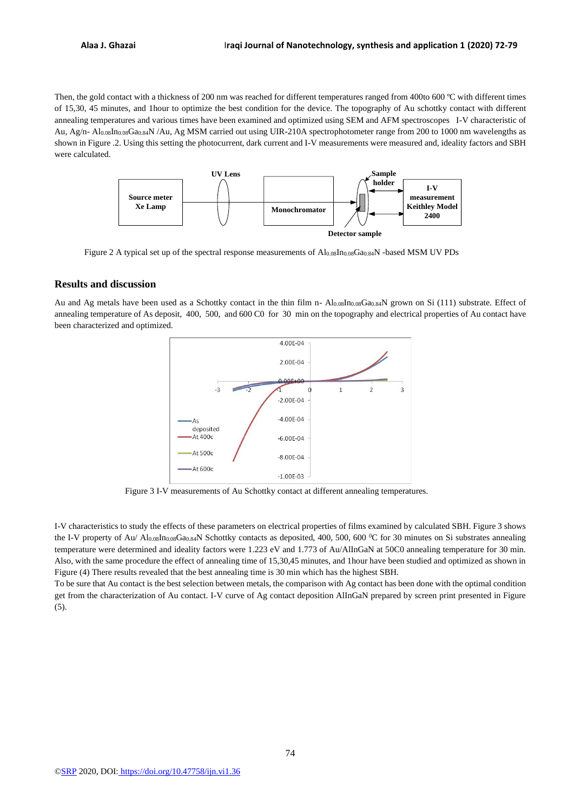Then, the gold contact with a thickness of 200 nm was reached for different temperatures ranged from 400to 600 °C with different times of 15,30, 45 minutes, and 1hour to optimize the best condition for the device. The topography of Au schottky contact with different annealing temperatures and various times have been examined and optimized using SEM and AFM spectroscopes I-V characteristic of Au, Ag/n- Al0.08In0.08Ga0.84N /Au, Ag MSM carried out using UIR-210A spectrophotometer range from 200 to 1000 nm wavelengths as shown in Figure .2. Using this setting the photocurrent, dark current and I-V measurements were measured and, ideality factors and SBH were calculated.



Figure 2 A typical set up of the spectral response measurements of Al0.08In0.08Ga0.84N -based MSM UV PDs

### **Results and discussion**

Au and Ag metals have been used as a Schottky contact in the thin film n- Al0.08In0.08Ga0.84N grown on Si (111) substrate. Effect of annealing temperature of As deposit, 400, 500, and 600 C0 for 30 min on the topography and electrical properties of Au contact have been characterized and optimized.



Figure 3 I-V measurements of Au Schottky contact at different annealing temperatures.

I-V characteristics to study the effects of these parameters on electrical properties of films examined by calculated SBH. Figure 3 shows the I-V property of Au/ Al0.08In0.08Ga0.84N Schottky contacts as deposited, 400, 500, 600  $\degree$ C for 30 minutes on Si substrates annealing temperature were determined and ideality factors were 1.223 eV and 1.773 of Au/AlInGaN at 50C0 annealing temperature for 30 min. Also, with the same procedure the effect of annealing time of 15,30,45 minutes, and 1hour have been studied and optimized as shown in Figure (4) There results revealed that the best annealing time is 30 min which has the highest SBH.

To be sure that Au contact is the best selection between metals, the comparison with Ag contact has been done with the optimal condition get from the characterization of Au contact. I-V curve of Ag contact deposition AlInGaN prepared by screen print presented in Figure (5).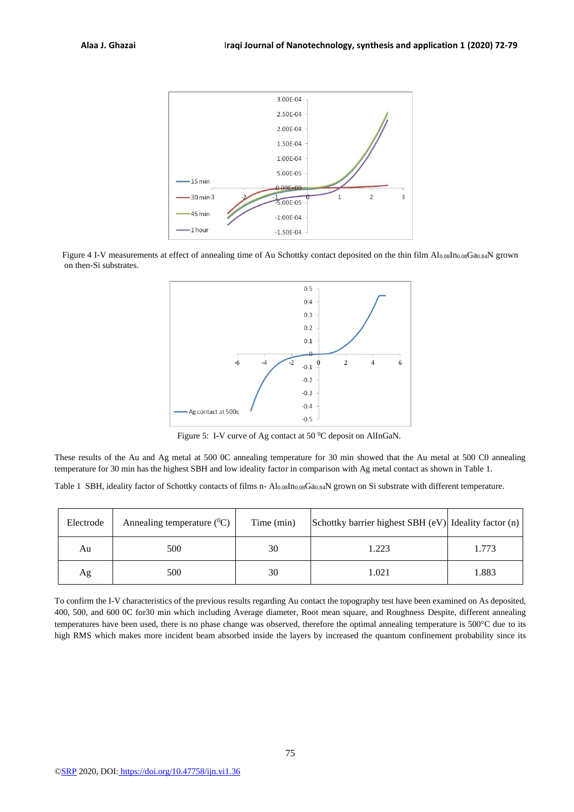

Figure 4 I-V measurements at effect of annealing time of Au Schottky contact deposited on the thin film Al<sub>0.08</sub>In<sub>0.08</sub>Ga<sub>0.84</sub>N grown on then-Si substrates.



Figure 5: I-V curve of Ag contact at 50 °C deposit on AlInGaN.

These results of the Au and Ag metal at 500 0C annealing temperature for 30 min showed that the Au metal at 500 C0 annealing temperature for 30 min has the highest SBH and low ideality factor in comparison with Ag metal contact as shown in Table 1.

Table 1 SBH, ideality factor of Schottky contacts of films n- Al0.08In0.08Ga0.84N grown on Si substrate with different temperature.

| Electrode | Annealing temperature $(^{0}C)$ | Time (min) | Schottky barrier highest SBH (eV) Ideality factor (n) |       |
|-----------|---------------------------------|------------|-------------------------------------------------------|-------|
| Au        | 500                             | 30         | 1.223                                                 | 1.773 |
| Ag        | 500                             | 30         | 1.021                                                 | 1.883 |

To confirm the I-V characteristics of the previous results regarding Au contact the topography test have been examined on As deposited, 400, 500, and 600 0C for30 min which including Average diameter, Root mean square, and Roughness Despite, different annealing temperatures have been used, there is no phase change was observed, therefore the optimal annealing temperature is 500°C due to its high RMS which makes more incident beam absorbed inside the layers by increased the quantum confinement probability since its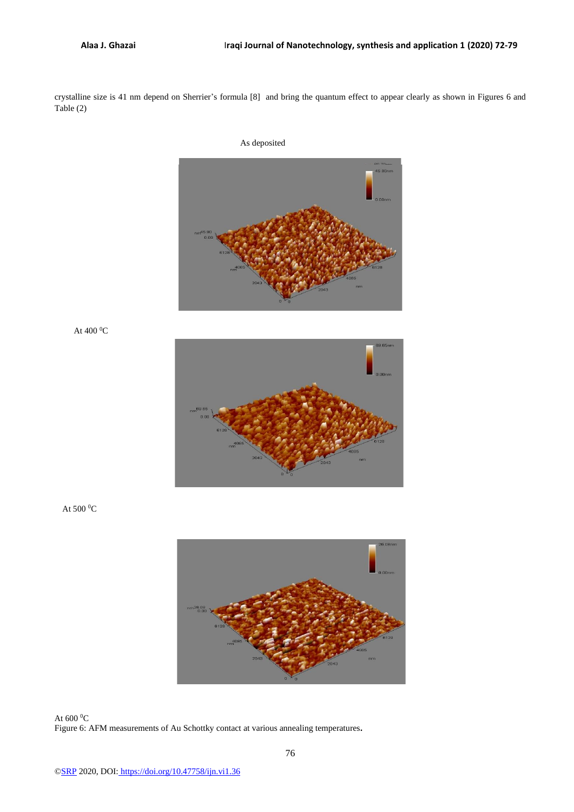crystalline size is 41 nm depend on Sherrier's formula [8] and bring the quantum effect to appear clearly as shown in Figures 6 and Table (2)



At 400  $^0$ C



At 500  $^0\mathrm{C}$ 



At 600  $^0$ C Figure 6: AFM measurements of Au Schottky contact at various annealing temperatures**.**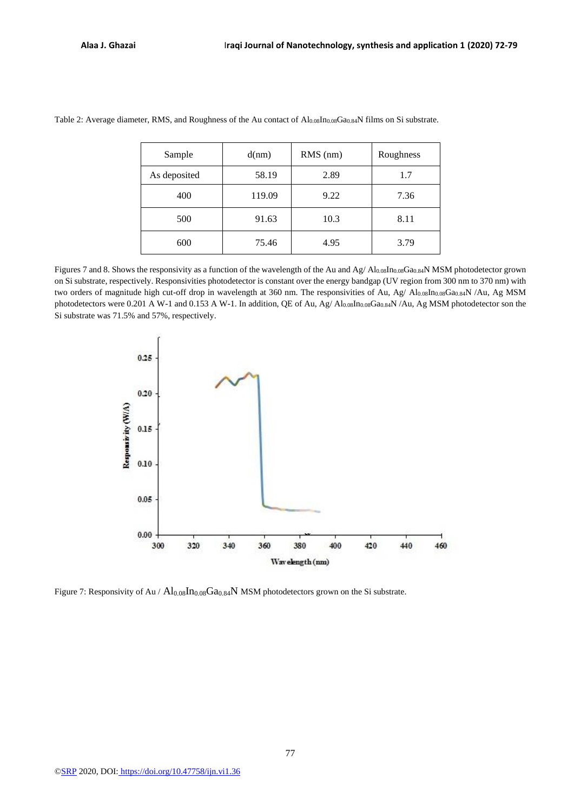| Sample       | d(nm)  | $RMS$ (nm) | Roughness |  |
|--------------|--------|------------|-----------|--|
| As deposited | 58.19  | 2.89       | 1.7       |  |
| 400          | 119.09 | 9.22       | 7.36      |  |
| 500          | 91.63  | 10.3       | 8.11      |  |
| 600          | 75.46  | 4.95       | 3.79      |  |

Table 2: Average diameter, RMS, and Roughness of the Au contact of Al0.08In0.08Ga0.84N films on Si substrate.

Figures 7 and 8. Shows the responsivity as a function of the wavelength of the Au and Ag/ Al0.08In0.08Ga0.84N MSM photodetector grown on Si substrate, respectively. Responsivities photodetector is constant over the energy bandgap (UV region from 300 nm to 370 nm) with two orders of magnitude high cut-off drop in wavelength at 360 nm. The responsivities of Au, Ag/ Al0.08In0.08Ga0.84N /Au, Ag MSM photodetectors were 0.201 A W-1 and 0.153 A W-1. In addition, QE of Au, Ag/ Al0.08In0.08Ga0.84N/Au, Ag MSM photodetector son the Si substrate was 71.5% and 57%, respectively.



Figure 7: Responsivity of Au /  $Al_{0.08}In_{0.08}Ga_{0.84}N$  MSM photodetectors grown on the Si substrate.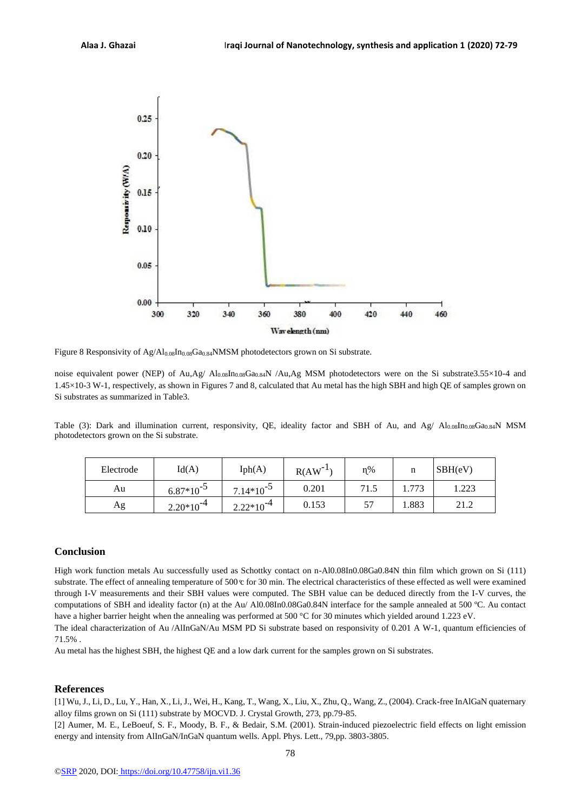

Figure 8 Responsivity of  $Ag/Al_{0.08}In_{0.08}Ga_{0.84}NMSM$  photodetectors grown on Si substrate.

noise equivalent power (NEP) of Au,Ag/ Al0.08In0.08Ga0.84N /Au,Ag MSM photodetectors were on the Si substrate3.55×10-4 and 1.45×10-3 W-1, respectively, as shown in Figures 7 and 8, calculated that Au metal has the high SBH and high QE of samples grown on Si substrates as summarized in Table3.

Table (3): Dark and illumination current, responsivity, QE, ideality factor and SBH of Au, and Ag/ Al0.08In0.08Ga0.84N MSM photodetectors grown on the Si substrate.

| Electrode | Id(A)          | Iph(A)         | R(AW) | $n\%$     | n     | SBH(eV) |
|-----------|----------------|----------------|-------|-----------|-------|---------|
| Au        | $6.87*10^{-3}$ | $7.14*10^{-5}$ | 0.201 | 71.5      | 1.773 | .223    |
| Ag        | $2.20*10^{-4}$ | $2.22*10^{-4}$ | 0.153 | 57<br>، ب | 1.883 | 21.2    |

### **Conclusion**

High work function metals Au successfully used as Schottky contact on n-Al0.08In0.08Ga0.84N thin film which grown on Si (111) substrate. The effect of annealing temperature of  $500 \, \text{°}$  for 30 min. The electrical characteristics of these effected as well were examined through I-V measurements and their SBH values were computed. The SBH value can be deduced directly from the I-V curves, the computations of SBH and ideality factor (n) at the Au/ Al0.08In0.08Ga0.84N interface for the sample annealed at 500 ºC. Au contact have a higher barrier height when the annealing was performed at 500 °C for 30 minutes which yielded around 1.223 eV.

The ideal characterization of Au /AlInGaN/Au MSM PD Si substrate based on responsivity of 0.201 A W-1, quantum efficiencies of 71.5% .

Au metal has the highest SBH, the highest QE and a low dark current for the samples grown on Si substrates.

### **References**

[1] Wu, J., Li, D., Lu, Y., Han, X., Li, J., Wei, H., Kang, T., Wang, X., Liu, X., Zhu, Q., Wang, Z., (2004). Crack-free InAlGaN quaternary alloy films grown on Si (111) substrate by MOCVD. J. Crystal Growth, 273, pp.79-85.

[2] Aumer, M. E., LeBoeuf, S. F., Moody, B. F., & Bedair, S.M. (2001). Strain-induced piezoelectric field effects on light emission energy and intensity from AlInGaN/InGaN quantum wells. Appl. Phys. Lett., 79,pp. 3803-3805.